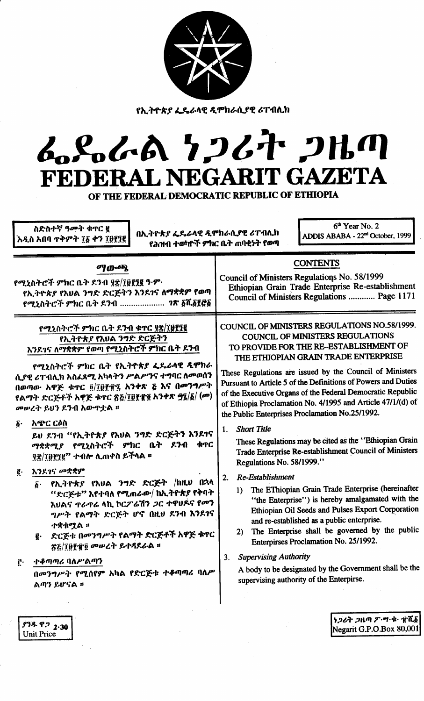| አዲስ አበባ ጥቅምት ፲፩ ቀን ፲፱፻፺፪<br>የሕዝብ ተወካዮች ምክር ቤት ጠባቂነት የወጣ<br><b>CONTENTS</b><br>ማውጫ<br>Council of Ministers Regulations No. 58/1999<br>የሚኒስትሮች ምክር ቤት ዶንብ ያ፰/፲፱፻፺፪ ዓ·ም·<br>Ethiopian Grain Trade Enterprise Re-establishment<br>የኢትዮጵያ የእህል ንግድ ድርጅትን እንደ1ና ለማቋቋም የወጣ<br>Council of Ministers Regulations  Page 1171<br>የሚኒስትሮች ምክር ቤት ደንብ  ገጽ ፩ሺ፩፻፸፩<br>COUNCIL OF MINISTERS REGULATIONS NO.58/1999.<br>የሚኒስትሮች ምክር ቤት ዶንብ ቁጥር ያቌ/፲፱፻፺፪<br>COUNCIL OF MINISTERS REGULATIONS<br>የኢትዮጵያ የእሀል ንግድ ድርጅትን<br>TO PROVIDE FOR THE RE-ESTABLISHMENT OF<br>እንደገና ለማቋቋም የወጣ የሚኒስትሮች ምክር ቤት ደንብ<br>THE ETHIOPIAN GRAIN TRADE ENTERPRISE<br>የሚኒስትሮች ምክር ቤት የኢትዮጵያ ፌዴራላዊ ዲሞክራ<br>These Regulations are issued by the Council of Ministers<br>ሲያዊ ሪፐብሊክ አስፈጻሚ አካላትን ሥልሥንና ተግባር ለመወሰን<br>Pursuant to Article 5 of the Definitions of Powers and Duties<br>በወጣው አዋጅ ቁጥር ፬/፲፱፻፹፯ አንቀጽ ፭ እና በመንግሥት<br>of the Executive Organs of the Federal Democratic Republic<br>የልማት ድርጅቶች አዋጅ ቁዋር ጽ፩/፲፱፻፹፬ አንቀጽ ፵፯/፩/ (መ)<br>of Ethiopia Proclamation No. 4/1995 and Article 47/1/(d) of<br>መሠረት ይህን ደንብ አውዋቷል ፡፡<br>the Public Enterprises Proclamation No.25/1992.<br>አጭር ርዕስ<br>$\boldsymbol{\delta}$ .<br><b>Short Title</b><br>1.<br>ይህ ደንብ "የኢትዮጵያ የእህል ንግድ ድርጅትን እንደገና<br>These Regulations may be cited as the "Ethiopian Grain<br>ማቋቋሚያ የሚኒስትሮች ምክር ቤት ደንብ<br>ቁጥር<br>Trade Enterprise Re-establishment Council of Ministers<br>ያኗ/፲፬፻፺፪'' ተብሎ ሊጠቀስ ይችላል ፡፡<br>Regulations No. 58/1999."<br>እንደገና መቋቋም<br>ę.<br>Re-Establishment<br>2.<br>የኢትዮጵያ የእሀል ንግድ ድርጅት /ከዚሀ በኋላ<br>$\boldsymbol{\delta}$ .<br>The EThiopian Grain Trade Enterprise (hereinafter<br>1)<br>"ድርጅቱ" እየተባለ የሚጠራው/ ከኢትዮጵያ የቅባት<br>"the Enterprise") is hereby amalgamated with the<br>እሀልና <b>ተራ</b> ተሬ ላኪ ኮርፖሬሽን <i>ጋ</i> ር ተዋሀዶና የመን<br>Ethiopian Oil Seeds and Pulses Export Corporation<br>ግሥት የልማት ድርጅት ሆኖ በዚህ ደንብ እንደገና<br>and re-established as a public enterprise.<br>ተቋቁሟል ።<br>The Enterprise shall be governed by the public<br>2)<br>ድርጅቱ በመንግሥት የልማት ድርጅቶች አዋጅ ቁዋር<br>ę.<br>Enterpirses Proclamation No. 25/1992.<br><b>ጽ</b> &/፲፱፻፹፬ መሠረት ይተዳደራል ፡፡<br><b>Supervising Authority</b><br>3.<br>ተቆጣጣሪ ባለሥልጣን<br>Ĉ٠<br>A body to be designated by the Government shall be the<br>በመንግሥት የሚሰየም አካል የድርጅቱ ተቆጣጣሪ ባስሥ<br>supervising authority of the Enterpirse.<br>ልጣን ይሆናል ፡፡ | <u>የኢትዮጵያ ፌዴራሳዊ ዲሞክራሲያዊ ሪፐብሊክ</u><br>ムパムA 7267 2HM<br>FEDERAL NEGARIT GAZETA<br>OF THE FEDERAL DEMOCRATIC REPUBLIC OF ETHIOPIA<br>$6th$ Year No. 2<br>ስድስተኛ ዓመት ቁጥር ፪<br>በኢትዮጵያ ፌዴራላዊ ዲሞክራሲያዊ ሪፐብሊክ<br>ADDIS ABABA - 22 <sup>nd</sup> October, 1999 |  |
|-------------------------------------------------------------------------------------------------------------------------------------------------------------------------------------------------------------------------------------------------------------------------------------------------------------------------------------------------------------------------------------------------------------------------------------------------------------------------------------------------------------------------------------------------------------------------------------------------------------------------------------------------------------------------------------------------------------------------------------------------------------------------------------------------------------------------------------------------------------------------------------------------------------------------------------------------------------------------------------------------------------------------------------------------------------------------------------------------------------------------------------------------------------------------------------------------------------------------------------------------------------------------------------------------------------------------------------------------------------------------------------------------------------------------------------------------------------------------------------------------------------------------------------------------------------------------------------------------------------------------------------------------------------------------------------------------------------------------------------------------------------------------------------------------------------------------------------------------------------------------------------------------------------------------------------------------------------------------------------------------------------------------------------------------------------------------------------------------------------------------------------------------------------------------------------------------------------------------------------------------------------------------------------------------------------------------------------|-----------------------------------------------------------------------------------------------------------------------------------------------------------------------------------------------------------------------------------------------------|--|
|                                                                                                                                                                                                                                                                                                                                                                                                                                                                                                                                                                                                                                                                                                                                                                                                                                                                                                                                                                                                                                                                                                                                                                                                                                                                                                                                                                                                                                                                                                                                                                                                                                                                                                                                                                                                                                                                                                                                                                                                                                                                                                                                                                                                                                                                                                                                     |                                                                                                                                                                                                                                                     |  |
|                                                                                                                                                                                                                                                                                                                                                                                                                                                                                                                                                                                                                                                                                                                                                                                                                                                                                                                                                                                                                                                                                                                                                                                                                                                                                                                                                                                                                                                                                                                                                                                                                                                                                                                                                                                                                                                                                                                                                                                                                                                                                                                                                                                                                                                                                                                                     |                                                                                                                                                                                                                                                     |  |

ያንዱ ዋ*ጋ* <sub>2</sub>.30 Unit Price

*ነጋሪት ጋ*ዜጣ ፖ·ሣ·ቁ· ፹ሺ; Negarit G.P.O.Box 80,001